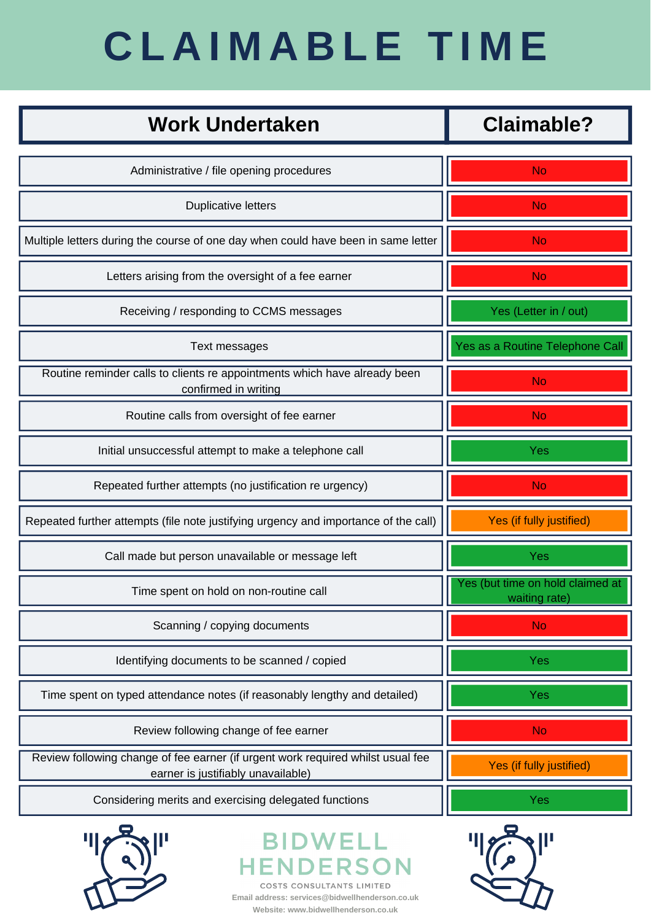| <b>Work Undertaken</b>                                                                            | <b>Claimable?</b>               |
|---------------------------------------------------------------------------------------------------|---------------------------------|
| Administrative / file opening procedures                                                          | No                              |
| <b>Duplicative letters</b>                                                                        | No.                             |
| Multiple letters during the course of one day when could have been in same letter                 | No                              |
| Letters arising from the oversight of a fee earner                                                | No                              |
| Receiving / responding to CCMS messages                                                           | Yes (Letter in / out)           |
| Text messages                                                                                     | Yes as a Routine Telephone Call |
| Routine reminder calls to clients re appointments which have already been<br>confirmed in writing | No.                             |
| Routine calls from oversight of fee earner                                                        | No                              |
| Initial unsuccessful attempt to make a telephone call                                             | <b>Yes</b>                      |
| Repeated further attempts (no justification re urgency)                                           | <b>No</b>                       |



## **C L A I M A B L E T I M E**